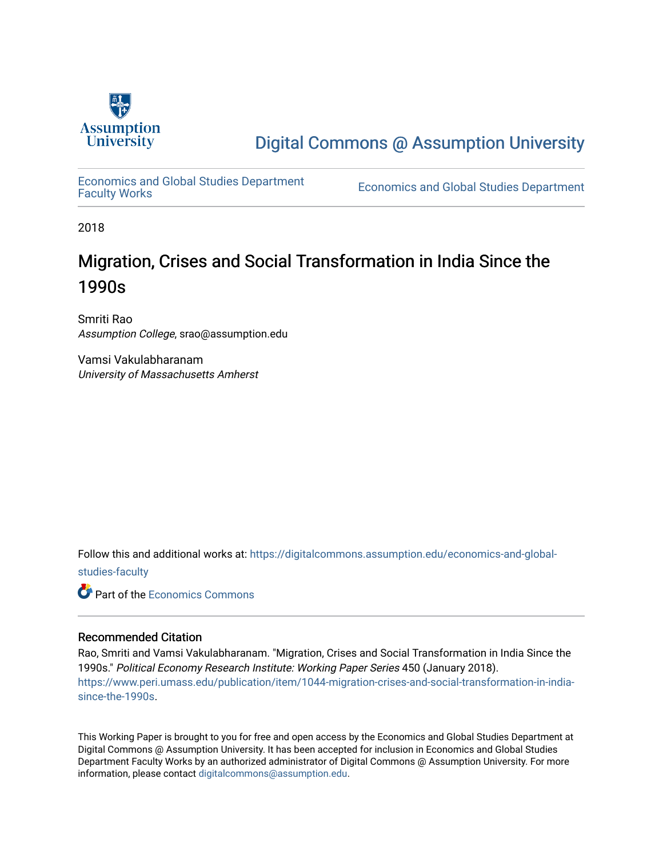

[Digital Commons @ Assumption University](https://digitalcommons.assumption.edu/) 

[Economics and Global Studies Department](https://digitalcommons.assumption.edu/economics-and-global-studies-faculty)

Economics and Global Studies Department

2018

# Migration, Crises and Social Transformation in India Since the 1990s

Smriti Rao Assumption College, srao@assumption.edu

Vamsi Vakulabharanam University of Massachusetts Amherst

Follow this and additional works at: [https://digitalcommons.assumption.edu/economics-and-global](https://digitalcommons.assumption.edu/economics-and-global-studies-faculty?utm_source=digitalcommons.assumption.edu%2Feconomics-and-global-studies-faculty%2F2&utm_medium=PDF&utm_campaign=PDFCoverPages)[studies-faculty](https://digitalcommons.assumption.edu/economics-and-global-studies-faculty?utm_source=digitalcommons.assumption.edu%2Feconomics-and-global-studies-faculty%2F2&utm_medium=PDF&utm_campaign=PDFCoverPages)

Part of the [Economics Commons](http://network.bepress.com/hgg/discipline/340?utm_source=digitalcommons.assumption.edu%2Feconomics-and-global-studies-faculty%2F2&utm_medium=PDF&utm_campaign=PDFCoverPages)

## Recommended Citation

Rao, Smriti and Vamsi Vakulabharanam. "Migration, Crises and Social Transformation in India Since the 1990s." Political Economy Research Institute: Working Paper Series 450 (January 2018). [https://www.peri.umass.edu/publication/item/1044-migration-crises-and-social-transformation-in-india](https://www.peri.umass.edu/publication/item/1044-migration-crises-and-social-transformation-in-india-since-the-1990s)[since-the-1990s.](https://www.peri.umass.edu/publication/item/1044-migration-crises-and-social-transformation-in-india-since-the-1990s)

This Working Paper is brought to you for free and open access by the Economics and Global Studies Department at Digital Commons @ Assumption University. It has been accepted for inclusion in Economics and Global Studies Department Faculty Works by an authorized administrator of Digital Commons @ Assumption University. For more information, please contact [digitalcommons@assumption.edu.](mailto:digitalcommons@assumption.edu)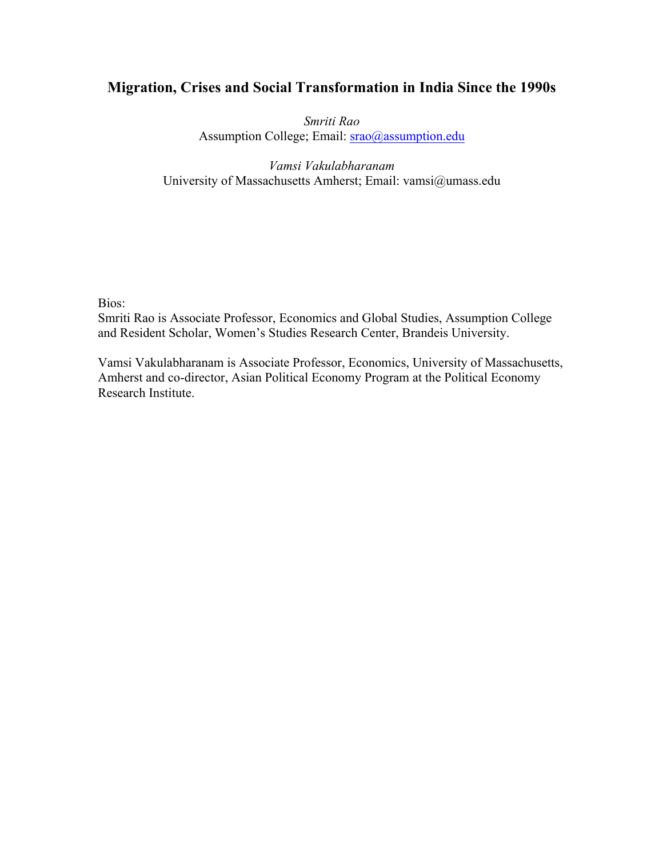# **Migration, Crises and Social Transformation in India Since the 1990s**

*Smriti Rao*  Assumption College; Email: [srao@assumption.edu](mailto:srao@assumption.edu)

*Vamsi Vakulabharanam*  University of Massachusetts Amherst; Email: vamsi@umass.edu

Bios:

Smriti Rao is Associate Professor, Economics and Global Studies, Assumption College and Resident Scholar, Women's Studies Research Center, Brandeis University.

Vamsi Vakulabharanam is Associate Professor, Economics, University of Massachusetts, Amherst and co-director, Asian Political Economy Program at the Political Economy Research Institute.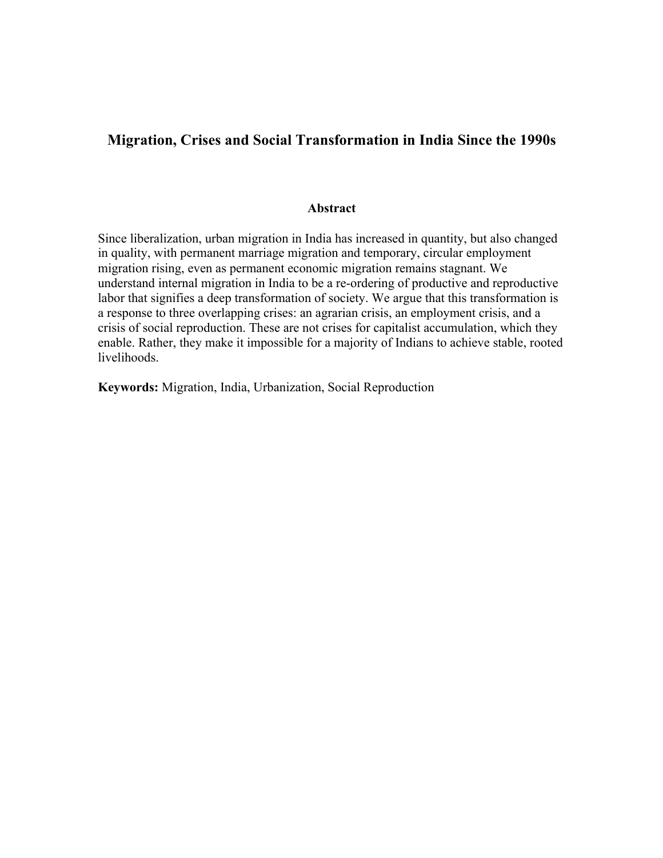# **Migration, Crises and Social Transformation in India Since the 1990s**

#### **Abstract**

Since liberalization, urban migration in India has increased in quantity, but also changed in quality, with permanent marriage migration and temporary, circular employment migration rising, even as permanent economic migration remains stagnant. We understand internal migration in India to be a re-ordering of productive and reproductive labor that signifies a deep transformation of society. We argue that this transformation is a response to three overlapping crises: an agrarian crisis, an employment crisis, and a crisis of social reproduction. These are not crises for capitalist accumulation, which they enable. Rather, they make it impossible for a majority of Indians to achieve stable, rooted livelihoods.

**Keywords:** Migration, India, Urbanization, Social Reproduction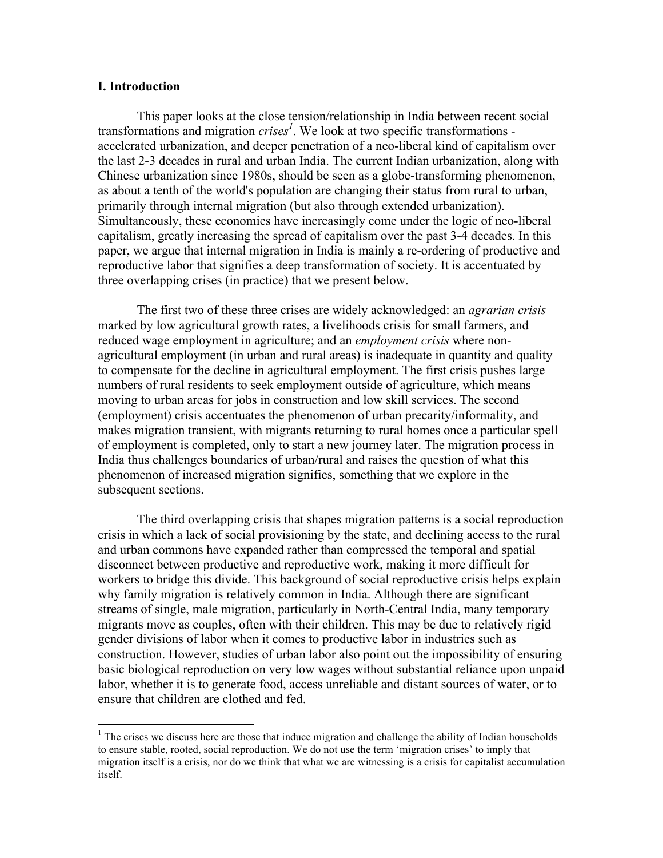#### **I. Introduction**

This paper looks at the close tension/relationship in India between recent social transformations and migration *crises 1* . We look at two specific transformations accelerated urbanization, and deeper penetration of a neo-liberal kind of capitalism over the last 2-3 decades in rural and urban India. The current Indian urbanization, along with Chinese urbanization since 1980s, should be seen as a globe-transforming phenomenon, as about a tenth of the world's population are changing their status from rural to urban, primarily through internal migration (but also through extended urbanization). Simultaneously, these economies have increasingly come under the logic of neo-liberal capitalism, greatly increasing the spread of capitalism over the past 3-4 decades. In this paper, we argue that internal migration in India is mainly a re-ordering of productive and reproductive labor that signifies a deep transformation of society. It is accentuated by three overlapping crises (in practice) that we present below.

The first two of these three crises are widely acknowledged: an *agrarian crisis* marked by low agricultural growth rates, a livelihoods crisis for small farmers, and reduced wage employment in agriculture; and an *employment crisis* where nonagricultural employment (in urban and rural areas) is inadequate in quantity and quality to compensate for the decline in agricultural employment. The first crisis pushes large numbers of rural residents to seek employment outside of agriculture, which means moving to urban areas for jobs in construction and low skill services. The second (employment) crisis accentuates the phenomenon of urban precarity/informality, and makes migration transient, with migrants returning to rural homes once a particular spell of employment is completed, only to start a new journey later. The migration process in India thus challenges boundaries of urban/rural and raises the question of what this phenomenon of increased migration signifies, something that we explore in the subsequent sections.

The third overlapping crisis that shapes migration patterns is a social reproduction crisis in which a lack of social provisioning by the state, and declining access to the rural and urban commons have expanded rather than compressed the temporal and spatial disconnect between productive and reproductive work, making it more difficult for workers to bridge this divide. This background of social reproductive crisis helps explain why family migration is relatively common in India. Although there are significant streams of single, male migration, particularly in North-Central India, many temporary migrants move as couples, often with their children. This may be due to relatively rigid gender divisions of labor when it comes to productive labor in industries such as construction. However, studies of urban labor also point out the impossibility of ensuring basic biological reproduction on very low wages without substantial reliance upon unpaid labor, whether it is to generate food, access unreliable and distant sources of water, or to ensure that children are clothed and fed.

 $<sup>1</sup>$  The crises we discuss here are those that induce migration and challenge the ability of Indian households</sup> to ensure stable, rooted, social reproduction. We do not use the term 'migration crises' to imply that migration itself is a crisis, nor do we think that what we are witnessing is a crisis for capitalist accumulation itself.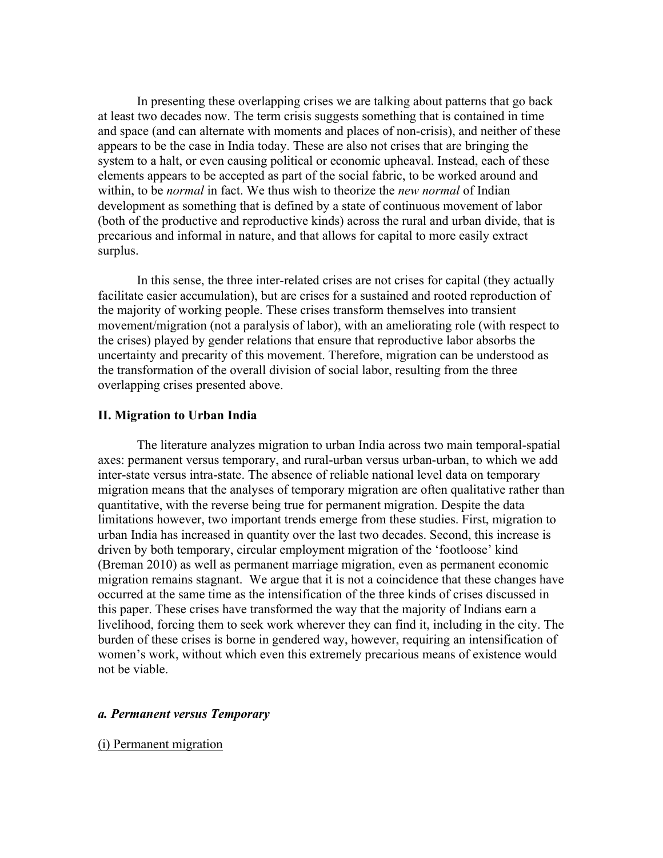In presenting these overlapping crises we are talking about patterns that go back at least two decades now. The term crisis suggests something that is contained in time and space (and can alternate with moments and places of non-crisis), and neither of these appears to be the case in India today. These are also not crises that are bringing the system to a halt, or even causing political or economic upheaval. Instead, each of these elements appears to be accepted as part of the social fabric, to be worked around and within, to be *normal* in fact. We thus wish to theorize the *new normal* of Indian development as something that is defined by a state of continuous movement of labor (both of the productive and reproductive kinds) across the rural and urban divide, that is precarious and informal in nature, and that allows for capital to more easily extract surplus.

In this sense, the three inter-related crises are not crises for capital (they actually facilitate easier accumulation), but are crises for a sustained and rooted reproduction of the majority of working people. These crises transform themselves into transient movement/migration (not a paralysis of labor), with an ameliorating role (with respect to the crises) played by gender relations that ensure that reproductive labor absorbs the uncertainty and precarity of this movement. Therefore, migration can be understood as the transformation of the overall division of social labor, resulting from the three overlapping crises presented above.

#### **II. Migration to Urban India**

The literature analyzes migration to urban India across two main temporal-spatial axes: permanent versus temporary, and rural-urban versus urban-urban, to which we add inter-state versus intra-state. The absence of reliable national level data on temporary migration means that the analyses of temporary migration are often qualitative rather than quantitative, with the reverse being true for permanent migration. Despite the data limitations however, two important trends emerge from these studies. First, migration to urban India has increased in quantity over the last two decades. Second, this increase is driven by both temporary, circular employment migration of the 'footloose' kind (Breman 2010) as well as permanent marriage migration, even as permanent economic migration remains stagnant. We argue that it is not a coincidence that these changes have occurred at the same time as the intensification of the three kinds of crises discussed in this paper. These crises have transformed the way that the majority of Indians earn a livelihood, forcing them to seek work wherever they can find it, including in the city. The burden of these crises is borne in gendered way, however, requiring an intensification of women's work, without which even this extremely precarious means of existence would not be viable.

## *a. Permanent versus Temporary*

(i) Permanent migration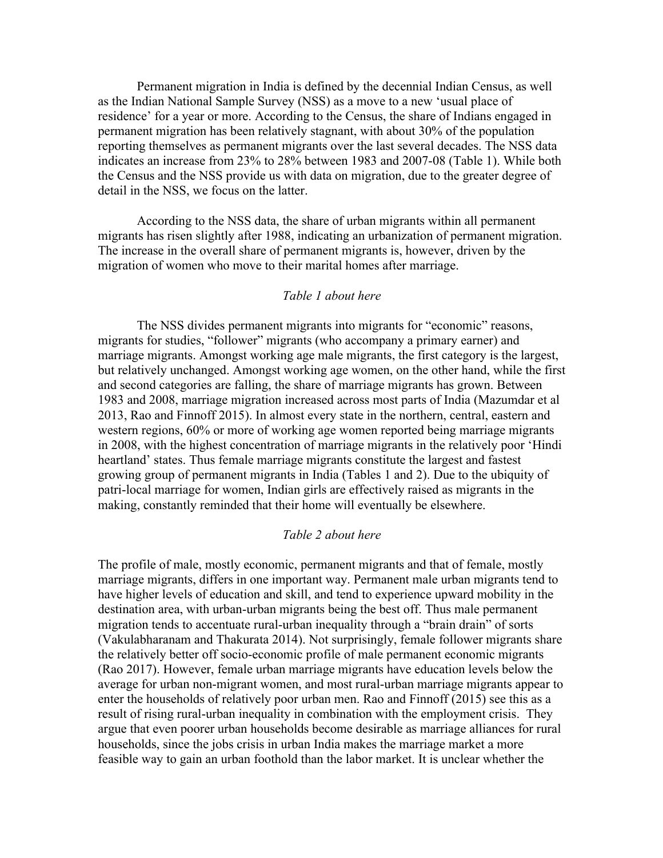Permanent migration in India is defined by the decennial Indian Census, as well as the Indian National Sample Survey (NSS) as a move to a new 'usual place of residence' for a year or more. According to the Census, the share of Indians engaged in permanent migration has been relatively stagnant, with about 30% of the population reporting themselves as permanent migrants over the last several decades. The NSS data indicates an increase from 23% to 28% between 1983 and 2007-08 (Table 1). While both the Census and the NSS provide us with data on migration, due to the greater degree of detail in the NSS, we focus on the latter.

According to the NSS data, the share of urban migrants within all permanent migrants has risen slightly after 1988, indicating an urbanization of permanent migration. The increase in the overall share of permanent migrants is, however, driven by the migration of women who move to their marital homes after marriage.

#### *Table 1 about here*

The NSS divides permanent migrants into migrants for "economic" reasons, migrants for studies, "follower" migrants (who accompany a primary earner) and marriage migrants. Amongst working age male migrants, the first category is the largest, but relatively unchanged. Amongst working age women, on the other hand, while the first and second categories are falling, the share of marriage migrants has grown. Between 1983 and 2008, marriage migration increased across most parts of India (Mazumdar et al 2013, Rao and Finnoff 2015). In almost every state in the northern, central, eastern and western regions, 60% or more of working age women reported being marriage migrants in 2008, with the highest concentration of marriage migrants in the relatively poor 'Hindi heartland' states. Thus female marriage migrants constitute the largest and fastest growing group of permanent migrants in India (Tables 1 and 2). Due to the ubiquity of patri-local marriage for women, Indian girls are effectively raised as migrants in the making, constantly reminded that their home will eventually be elsewhere.

#### *Table 2 about here*

The profile of male, mostly economic, permanent migrants and that of female, mostly marriage migrants, differs in one important way. Permanent male urban migrants tend to have higher levels of education and skill, and tend to experience upward mobility in the destination area, with urban-urban migrants being the best off. Thus male permanent migration tends to accentuate rural-urban inequality through a "brain drain" of sorts (Vakulabharanam and Thakurata 2014). Not surprisingly, female follower migrants share the relatively better off socio-economic profile of male permanent economic migrants (Rao 2017). However, female urban marriage migrants have education levels below the average for urban non-migrant women, and most rural-urban marriage migrants appear to enter the households of relatively poor urban men. Rao and Finnoff (2015) see this as a result of rising rural-urban inequality in combination with the employment crisis. They argue that even poorer urban households become desirable as marriage alliances for rural households, since the jobs crisis in urban India makes the marriage market a more feasible way to gain an urban foothold than the labor market. It is unclear whether the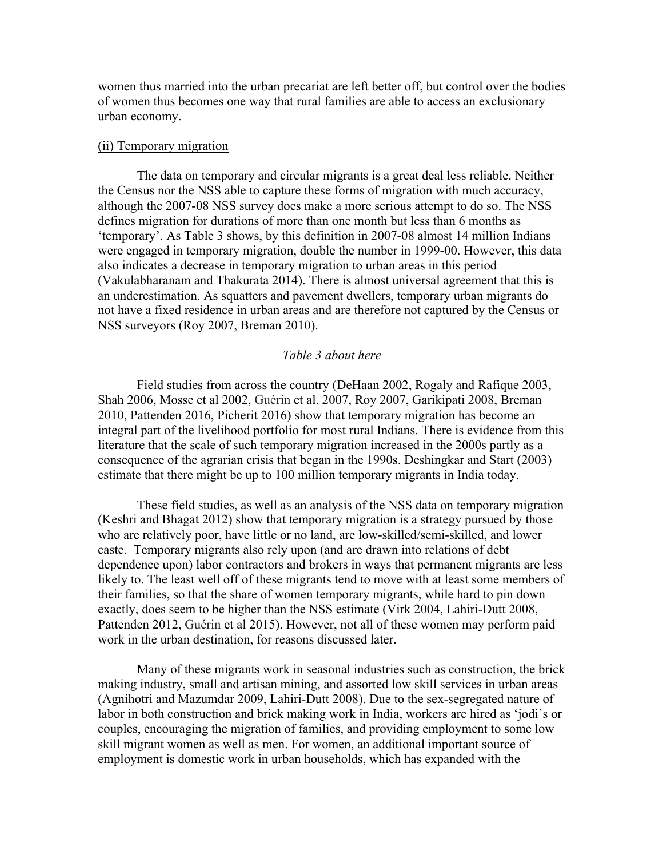women thus married into the urban precariat are left better off, but control over the bodies of women thus becomes one way that rural families are able to access an exclusionary urban economy.

#### (ii) Temporary migration

The data on temporary and circular migrants is a great deal less reliable. Neither the Census nor the NSS able to capture these forms of migration with much accuracy, although the 2007-08 NSS survey does make a more serious attempt to do so. The NSS defines migration for durations of more than one month but less than 6 months as 'temporary'. As Table 3 shows, by this definition in 2007-08 almost 14 million Indians were engaged in temporary migration, double the number in 1999-00. However, this data also indicates a decrease in temporary migration to urban areas in this period (Vakulabharanam and Thakurata 2014). There is almost universal agreement that this is an underestimation. As squatters and pavement dwellers, temporary urban migrants do not have a fixed residence in urban areas and are therefore not captured by the Census or NSS surveyors (Roy 2007, Breman 2010).

#### *Table 3 about here*

Field studies from across the country (DeHaan 2002, Rogaly and Rafique 2003, Shah 2006, Mosse et al 2002, Guérin et al. 2007, Roy 2007, Garikipati 2008, Breman 2010, Pattenden 2016, Picherit 2016) show that temporary migration has become an integral part of the livelihood portfolio for most rural Indians. There is evidence from this literature that the scale of such temporary migration increased in the 2000s partly as a consequence of the agrarian crisis that began in the 1990s. Deshingkar and Start (2003) estimate that there might be up to 100 million temporary migrants in India today.

These field studies, as well as an analysis of the NSS data on temporary migration (Keshri and Bhagat 2012) show that temporary migration is a strategy pursued by those who are relatively poor, have little or no land, are low-skilled/semi-skilled, and lower caste. Temporary migrants also rely upon (and are drawn into relations of debt dependence upon) labor contractors and brokers in ways that permanent migrants are less likely to. The least well off of these migrants tend to move with at least some members of their families, so that the share of women temporary migrants, while hard to pin down exactly, does seem to be higher than the NSS estimate (Virk 2004, Lahiri-Dutt 2008, Pattenden 2012, Guérin et al 2015). However, not all of these women may perform paid work in the urban destination, for reasons discussed later.

Many of these migrants work in seasonal industries such as construction, the brick making industry, small and artisan mining, and assorted low skill services in urban areas (Agnihotri and Mazumdar 2009, Lahiri-Dutt 2008). Due to the sex-segregated nature of labor in both construction and brick making work in India, workers are hired as 'jodi's or couples, encouraging the migration of families, and providing employment to some low skill migrant women as well as men. For women, an additional important source of employment is domestic work in urban households, which has expanded with the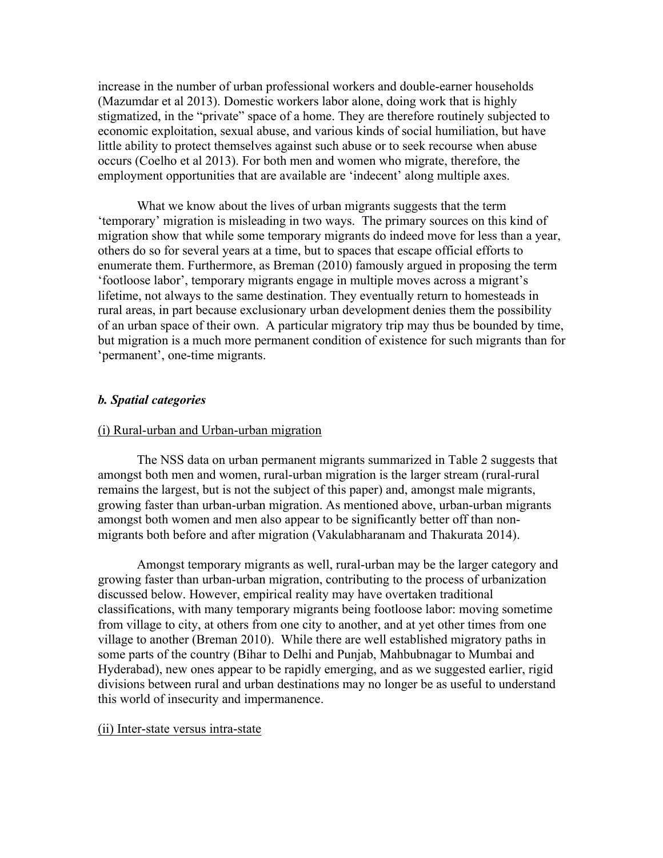increase in the number of urban professional workers and double-earner households (Mazumdar et al 2013). Domestic workers labor alone, doing work that is highly stigmatized, in the "private" space of a home. They are therefore routinely subjected to economic exploitation, sexual abuse, and various kinds of social humiliation, but have little ability to protect themselves against such abuse or to seek recourse when abuse occurs (Coelho et al 2013). For both men and women who migrate, therefore, the employment opportunities that are available are 'indecent' along multiple axes.

What we know about the lives of urban migrants suggests that the term 'temporary' migration is misleading in two ways. The primary sources on this kind of migration show that while some temporary migrants do indeed move for less than a year, others do so for several years at a time, but to spaces that escape official efforts to enumerate them. Furthermore, as Breman (2010) famously argued in proposing the term 'footloose labor', temporary migrants engage in multiple moves across a migrant's lifetime, not always to the same destination. They eventually return to homesteads in rural areas, in part because exclusionary urban development denies them the possibility of an urban space of their own. A particular migratory trip may thus be bounded by time, but migration is a much more permanent condition of existence for such migrants than for 'permanent', one-time migrants.

#### *b. Spatial categories*

#### (i) Rural-urban and Urban-urban migration

The NSS data on urban permanent migrants summarized in Table 2 suggests that amongst both men and women, rural-urban migration is the larger stream (rural-rural remains the largest, but is not the subject of this paper) and, amongst male migrants, growing faster than urban-urban migration. As mentioned above, urban-urban migrants amongst both women and men also appear to be significantly better off than nonmigrants both before and after migration (Vakulabharanam and Thakurata 2014).

Amongst temporary migrants as well, rural-urban may be the larger category and growing faster than urban-urban migration, contributing to the process of urbanization discussed below. However, empirical reality may have overtaken traditional classifications, with many temporary migrants being footloose labor: moving sometime from village to city, at others from one city to another, and at yet other times from one village to another (Breman 2010). While there are well established migratory paths in some parts of the country (Bihar to Delhi and Punjab, Mahbubnagar to Mumbai and Hyderabad), new ones appear to be rapidly emerging, and as we suggested earlier, rigid divisions between rural and urban destinations may no longer be as useful to understand this world of insecurity and impermanence.

#### (ii) Inter-state versus intra-state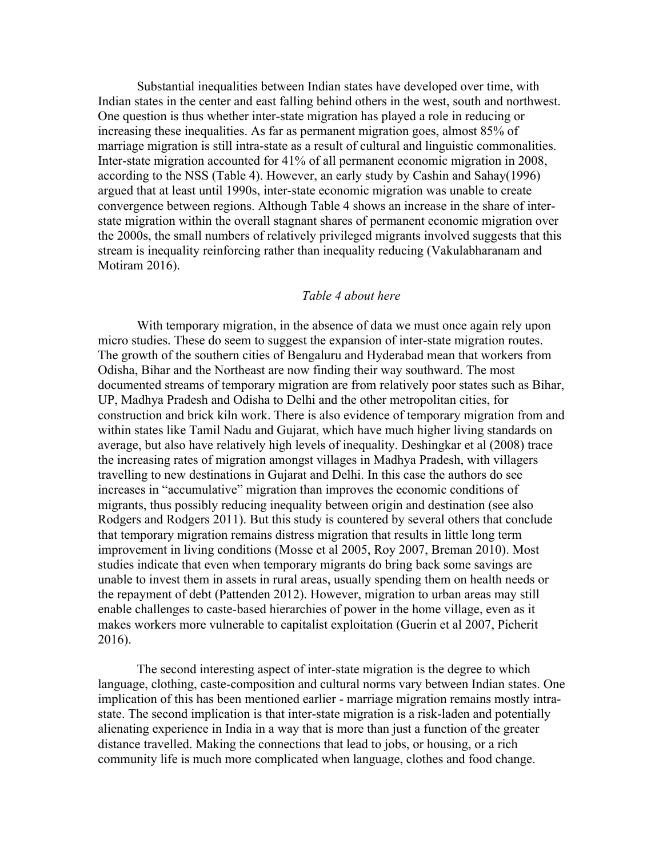Substantial inequalities between Indian states have developed over time, with Indian states in the center and east falling behind others in the west, south and northwest. One question is thus whether inter-state migration has played a role in reducing or increasing these inequalities. As far as permanent migration goes, almost 85% of marriage migration is still intra-state as a result of cultural and linguistic commonalities. Inter-state migration accounted for 41% of all permanent economic migration in 2008, according to the NSS (Table 4). However, an early study by Cashin and Sahay(1996) argued that at least until 1990s, inter-state economic migration was unable to create convergence between regions. Although Table 4 shows an increase in the share of interstate migration within the overall stagnant shares of permanent economic migration over the 2000s, the small numbers of relatively privileged migrants involved suggests that this stream is inequality reinforcing rather than inequality reducing (Vakulabharanam and Motiram 2016).

#### *Table 4 about here*

With temporary migration, in the absence of data we must once again rely upon micro studies. These do seem to suggest the expansion of inter-state migration routes. The growth of the southern cities of Bengaluru and Hyderabad mean that workers from Odisha, Bihar and the Northeast are now finding their way southward. The most documented streams of temporary migration are from relatively poor states such as Bihar, UP, Madhya Pradesh and Odisha to Delhi and the other metropolitan cities, for construction and brick kiln work. There is also evidence of temporary migration from and within states like Tamil Nadu and Gujarat, which have much higher living standards on average, but also have relatively high levels of inequality. Deshingkar et al (2008) trace the increasing rates of migration amongst villages in Madhya Pradesh, with villagers travelling to new destinations in Gujarat and Delhi. In this case the authors do see increases in "accumulative" migration than improves the economic conditions of migrants, thus possibly reducing inequality between origin and destination (see also Rodgers and Rodgers 2011). But this study is countered by several others that conclude that temporary migration remains distress migration that results in little long term improvement in living conditions (Mosse et al 2005, Roy 2007, Breman 2010). Most studies indicate that even when temporary migrants do bring back some savings are unable to invest them in assets in rural areas, usually spending them on health needs or the repayment of debt (Pattenden 2012). However, migration to urban areas may still enable challenges to caste-based hierarchies of power in the home village, even as it makes workers more vulnerable to capitalist exploitation (Guerin et al 2007, Picherit 2016).

The second interesting aspect of inter-state migration is the degree to which language, clothing, caste-composition and cultural norms vary between Indian states. One implication of this has been mentioned earlier - marriage migration remains mostly intrastate. The second implication is that inter-state migration is a risk-laden and potentially alienating experience in India in a way that is more than just a function of the greater distance travelled. Making the connections that lead to jobs, or housing, or a rich community life is much more complicated when language, clothes and food change.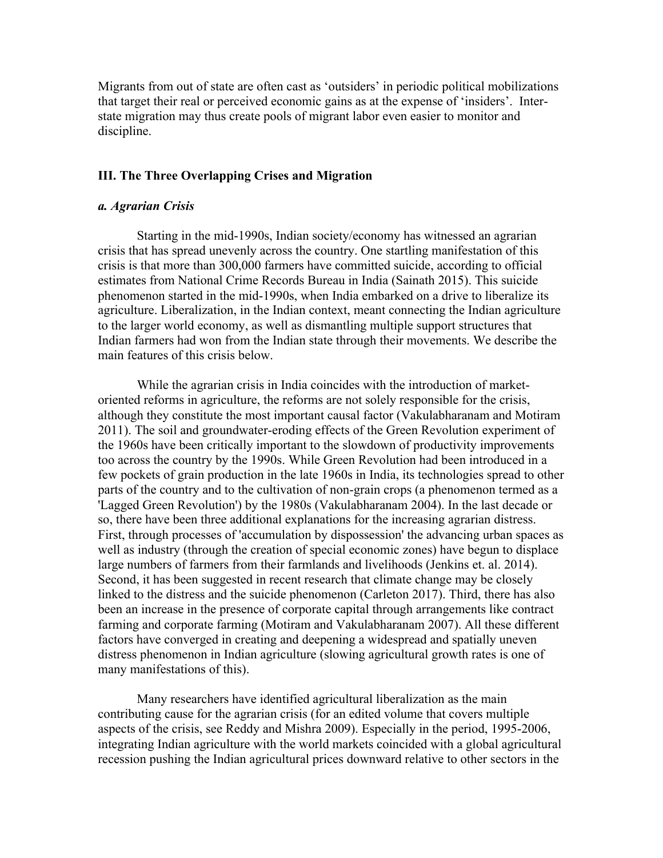Migrants from out of state are often cast as 'outsiders' in periodic political mobilizations that target their real or perceived economic gains as at the expense of 'insiders'. Interstate migration may thus create pools of migrant labor even easier to monitor and discipline.

#### **III. The Three Overlapping Crises and Migration**

#### *a. Agrarian Crisis*

Starting in the mid-1990s, Indian society/economy has witnessed an agrarian crisis that has spread unevenly across the country. One startling manifestation of this crisis is that more than 300,000 farmers have committed suicide, according to official estimates from National Crime Records Bureau in India (Sainath 2015). This suicide phenomenon started in the mid-1990s, when India embarked on a drive to liberalize its agriculture. Liberalization, in the Indian context, meant connecting the Indian agriculture to the larger world economy, as well as dismantling multiple support structures that Indian farmers had won from the Indian state through their movements. We describe the main features of this crisis below.

While the agrarian crisis in India coincides with the introduction of marketoriented reforms in agriculture, the reforms are not solely responsible for the crisis, although they constitute the most important causal factor (Vakulabharanam and Motiram 2011). The soil and groundwater-eroding effects of the Green Revolution experiment of the 1960s have been critically important to the slowdown of productivity improvements too across the country by the 1990s. While Green Revolution had been introduced in a few pockets of grain production in the late 1960s in India, its technologies spread to other parts of the country and to the cultivation of non-grain crops (a phenomenon termed as a 'Lagged Green Revolution') by the 1980s (Vakulabharanam 2004). In the last decade or so, there have been three additional explanations for the increasing agrarian distress. First, through processes of 'accumulation by dispossession' the advancing urban spaces as well as industry (through the creation of special economic zones) have begun to displace large numbers of farmers from their farmlands and livelihoods (Jenkins et. al. 2014). Second, it has been suggested in recent research that climate change may be closely linked to the distress and the suicide phenomenon (Carleton 2017). Third, there has also been an increase in the presence of corporate capital through arrangements like contract farming and corporate farming (Motiram and Vakulabharanam 2007). All these different factors have converged in creating and deepening a widespread and spatially uneven distress phenomenon in Indian agriculture (slowing agricultural growth rates is one of many manifestations of this).

Many researchers have identified agricultural liberalization as the main contributing cause for the agrarian crisis (for an edited volume that covers multiple aspects of the crisis, see Reddy and Mishra 2009). Especially in the period, 1995-2006, integrating Indian agriculture with the world markets coincided with a global agricultural recession pushing the Indian agricultural prices downward relative to other sectors in the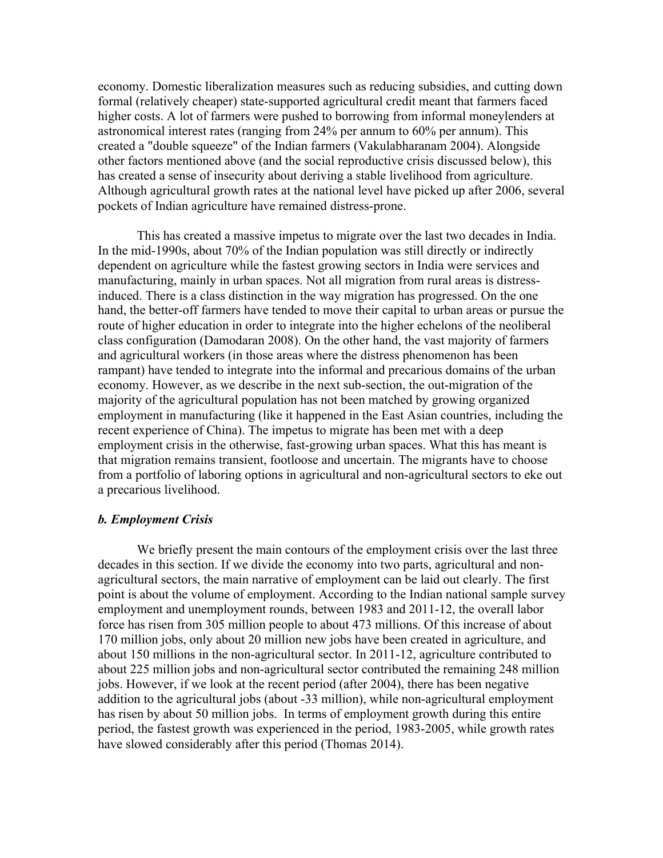economy. Domestic liberalization measures such as reducing subsidies, and cutting down formal (relatively cheaper) state-supported agricultural credit meant that farmers faced higher costs. A lot of farmers were pushed to borrowing from informal moneylenders at astronomical interest rates (ranging from 24% per annum to 60% per annum). This created a "double squeeze" of the Indian farmers (Vakulabharanam 2004). Alongside other factors mentioned above (and the social reproductive crisis discussed below), this has created a sense of insecurity about deriving a stable livelihood from agriculture. Although agricultural growth rates at the national level have picked up after 2006, several pockets of Indian agriculture have remained distress-prone.

This has created a massive impetus to migrate over the last two decades in India. In the mid-1990s, about 70% of the Indian population was still directly or indirectly dependent on agriculture while the fastest growing sectors in India were services and manufacturing, mainly in urban spaces. Not all migration from rural areas is distressinduced. There is a class distinction in the way migration has progressed. On the one hand, the better-off farmers have tended to move their capital to urban areas or pursue the route of higher education in order to integrate into the higher echelons of the neoliberal class configuration (Damodaran 2008). On the other hand, the vast majority of farmers and agricultural workers (in those areas where the distress phenomenon has been rampant) have tended to integrate into the informal and precarious domains of the urban economy. However, as we describe in the next sub-section, the out-migration of the majority of the agricultural population has not been matched by growing organized employment in manufacturing (like it happened in the East Asian countries, including the recent experience of China). The impetus to migrate has been met with a deep employment crisis in the otherwise, fast-growing urban spaces. What this has meant is that migration remains transient, footloose and uncertain. The migrants have to choose from a portfolio of laboring options in agricultural and non-agricultural sectors to eke out a precarious livelihood.

#### *b. Employment Crisis*

We briefly present the main contours of the employment crisis over the last three decades in this section. If we divide the economy into two parts, agricultural and nonagricultural sectors, the main narrative of employment can be laid out clearly. The first point is about the volume of employment. According to the Indian national sample survey employment and unemployment rounds, between 1983 and 2011-12, the overall labor force has risen from 305 million people to about 473 millions. Of this increase of about 170 million jobs, only about 20 million new jobs have been created in agriculture, and about 150 millions in the non-agricultural sector. In 2011-12, agriculture contributed to about 225 million jobs and non-agricultural sector contributed the remaining 248 million jobs. However, if we look at the recent period (after 2004), there has been negative addition to the agricultural jobs (about -33 million), while non-agricultural employment has risen by about 50 million jobs. In terms of employment growth during this entire period, the fastest growth was experienced in the period, 1983-2005, while growth rates have slowed considerably after this period (Thomas 2014).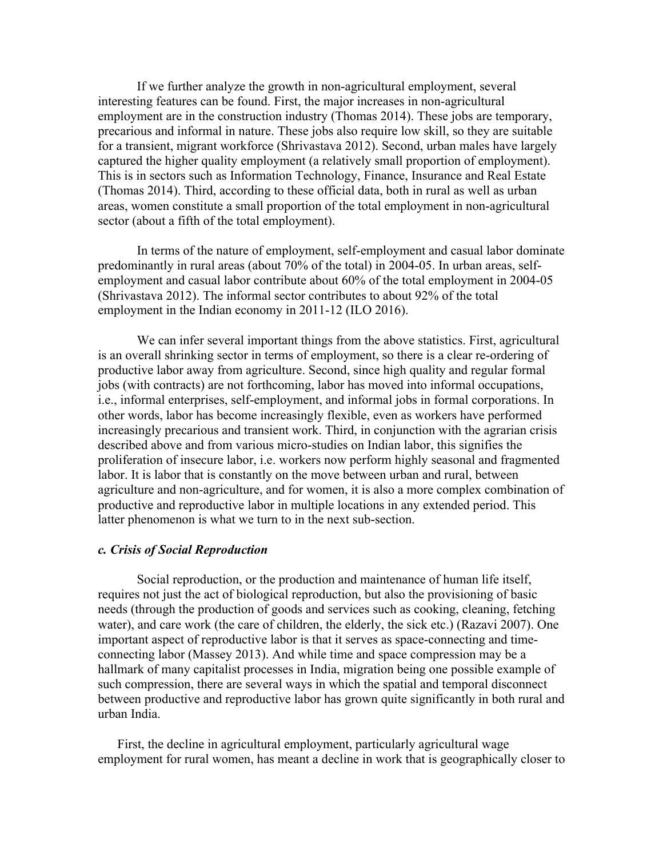If we further analyze the growth in non-agricultural employment, several interesting features can be found. First, the major increases in non-agricultural employment are in the construction industry (Thomas 2014). These jobs are temporary, precarious and informal in nature. These jobs also require low skill, so they are suitable for a transient, migrant workforce (Shrivastava 2012). Second, urban males have largely captured the higher quality employment (a relatively small proportion of employment). This is in sectors such as Information Technology, Finance, Insurance and Real Estate (Thomas 2014). Third, according to these official data, both in rural as well as urban areas, women constitute a small proportion of the total employment in non-agricultural sector (about a fifth of the total employment).

In terms of the nature of employment, self-employment and casual labor dominate predominantly in rural areas (about 70% of the total) in 2004-05. In urban areas, selfemployment and casual labor contribute about 60% of the total employment in 2004-05 (Shrivastava 2012). The informal sector contributes to about 92% of the total employment in the Indian economy in 2011-12 (ILO 2016).

We can infer several important things from the above statistics. First, agricultural is an overall shrinking sector in terms of employment, so there is a clear re-ordering of productive labor away from agriculture. Second, since high quality and regular formal jobs (with contracts) are not forthcoming, labor has moved into informal occupations, i.e., informal enterprises, self-employment, and informal jobs in formal corporations. In other words, labor has become increasingly flexible, even as workers have performed increasingly precarious and transient work. Third, in conjunction with the agrarian crisis described above and from various micro-studies on Indian labor, this signifies the proliferation of insecure labor, i.e. workers now perform highly seasonal and fragmented labor. It is labor that is constantly on the move between urban and rural, between agriculture and non-agriculture, and for women, it is also a more complex combination of productive and reproductive labor in multiple locations in any extended period. This latter phenomenon is what we turn to in the next sub-section.

#### *c. Crisis of Social Reproduction*

Social reproduction, or the production and maintenance of human life itself, requires not just the act of biological reproduction, but also the provisioning of basic needs (through the production of goods and services such as cooking, cleaning, fetching water), and care work (the care of children, the elderly, the sick etc.) (Razavi 2007). One important aspect of reproductive labor is that it serves as space-connecting and timeconnecting labor (Massey 2013). And while time and space compression may be a hallmark of many capitalist processes in India, migration being one possible example of such compression, there are several ways in which the spatial and temporal disconnect between productive and reproductive labor has grown quite significantly in both rural and urban India.

First, the decline in agricultural employment, particularly agricultural wage employment for rural women, has meant a decline in work that is geographically closer to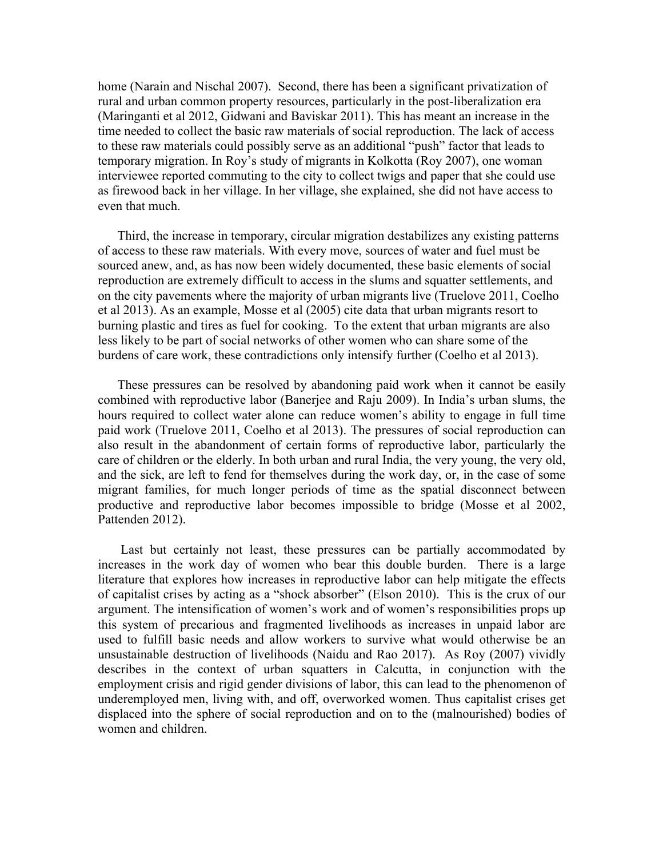home (Narain and Nischal 2007). Second, there has been a significant privatization of rural and urban common property resources, particularly in the post-liberalization era (Maringanti et al 2012, Gidwani and Baviskar 2011). This has meant an increase in the time needed to collect the basic raw materials of social reproduction. The lack of access to these raw materials could possibly serve as an additional "push" factor that leads to temporary migration. In Roy's study of migrants in Kolkotta (Roy 2007), one woman interviewee reported commuting to the city to collect twigs and paper that she could use as firewood back in her village. In her village, she explained, she did not have access to even that much.

Third, the increase in temporary, circular migration destabilizes any existing patterns of access to these raw materials. With every move, sources of water and fuel must be sourced anew, and, as has now been widely documented, these basic elements of social reproduction are extremely difficult to access in the slums and squatter settlements, and on the city pavements where the majority of urban migrants live (Truelove 2011, Coelho et al 2013). As an example, Mosse et al (2005) cite data that urban migrants resort to burning plastic and tires as fuel for cooking. To the extent that urban migrants are also less likely to be part of social networks of other women who can share some of the burdens of care work, these contradictions only intensify further (Coelho et al 2013).

These pressures can be resolved by abandoning paid work when it cannot be easily combined with reproductive labor (Banerjee and Raju 2009). In India's urban slums, the hours required to collect water alone can reduce women's ability to engage in full time paid work (Truelove 2011, Coelho et al 2013). The pressures of social reproduction can also result in the abandonment of certain forms of reproductive labor, particularly the care of children or the elderly. In both urban and rural India, the very young, the very old, and the sick, are left to fend for themselves during the work day, or, in the case of some migrant families, for much longer periods of time as the spatial disconnect between productive and reproductive labor becomes impossible to bridge (Mosse et al 2002, Pattenden 2012).

Last but certainly not least, these pressures can be partially accommodated by increases in the work day of women who bear this double burden. There is a large literature that explores how increases in reproductive labor can help mitigate the effects of capitalist crises by acting as a "shock absorber" (Elson 2010). This is the crux of our argument. The intensification of women's work and of women's responsibilities props up this system of precarious and fragmented livelihoods as increases in unpaid labor are used to fulfill basic needs and allow workers to survive what would otherwise be an unsustainable destruction of livelihoods (Naidu and Rao 2017). As Roy (2007) vividly describes in the context of urban squatters in Calcutta, in conjunction with the employment crisis and rigid gender divisions of labor, this can lead to the phenomenon of underemployed men, living with, and off, overworked women. Thus capitalist crises get displaced into the sphere of social reproduction and on to the (malnourished) bodies of women and children.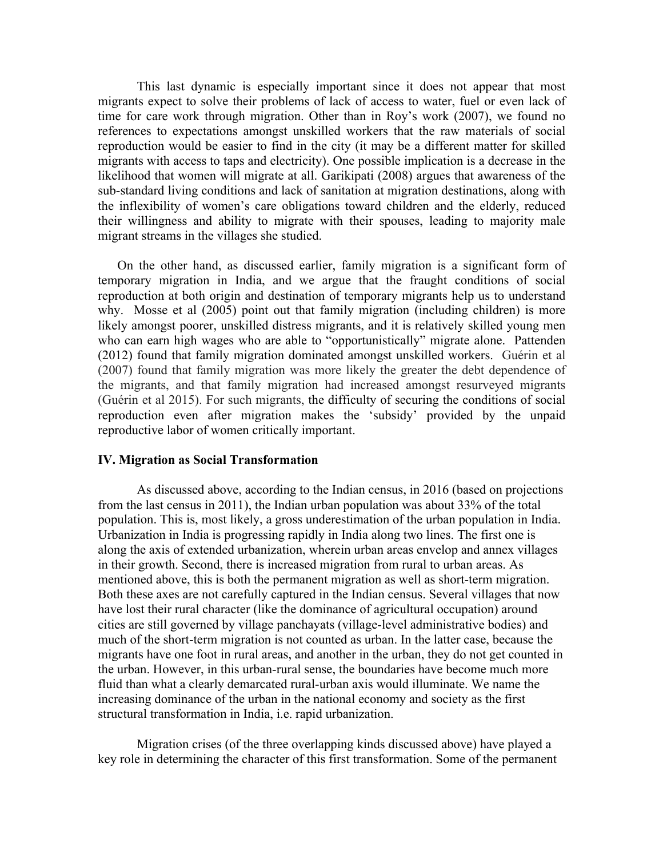This last dynamic is especially important since it does not appear that most migrants expect to solve their problems of lack of access to water, fuel or even lack of time for care work through migration. Other than in Roy's work (2007), we found no references to expectations amongst unskilled workers that the raw materials of social reproduction would be easier to find in the city (it may be a different matter for skilled migrants with access to taps and electricity). One possible implication is a decrease in the likelihood that women will migrate at all. Garikipati (2008) argues that awareness of the sub-standard living conditions and lack of sanitation at migration destinations, along with the inflexibility of women's care obligations toward children and the elderly, reduced their willingness and ability to migrate with their spouses, leading to majority male migrant streams in the villages she studied.

On the other hand, as discussed earlier, family migration is a significant form of temporary migration in India, and we argue that the fraught conditions of social reproduction at both origin and destination of temporary migrants help us to understand why. Mosse et al (2005) point out that family migration (including children) is more likely amongst poorer, unskilled distress migrants, and it is relatively skilled young men who can earn high wages who are able to "opportunistically" migrate alone. Pattenden (2012) found that family migration dominated amongst unskilled workers. Guérin et al (2007) found that family migration was more likely the greater the debt dependence of the migrants, and that family migration had increased amongst resurveyed migrants (Guérin et al 2015). For such migrants, the difficulty of securing the conditions of social reproduction even after migration makes the 'subsidy' provided by the unpaid reproductive labor of women critically important.

#### **IV. Migration as Social Transformation**

As discussed above, according to the Indian census, in 2016 (based on projections from the last census in 2011), the Indian urban population was about 33% of the total population. This is, most likely, a gross underestimation of the urban population in India. Urbanization in India is progressing rapidly in India along two lines. The first one is along the axis of extended urbanization, wherein urban areas envelop and annex villages in their growth. Second, there is increased migration from rural to urban areas. As mentioned above, this is both the permanent migration as well as short-term migration. Both these axes are not carefully captured in the Indian census. Several villages that now have lost their rural character (like the dominance of agricultural occupation) around cities are still governed by village panchayats (village-level administrative bodies) and much of the short-term migration is not counted as urban. In the latter case, because the migrants have one foot in rural areas, and another in the urban, they do not get counted in the urban. However, in this urban-rural sense, the boundaries have become much more fluid than what a clearly demarcated rural-urban axis would illuminate. We name the increasing dominance of the urban in the national economy and society as the first structural transformation in India, i.e. rapid urbanization.

Migration crises (of the three overlapping kinds discussed above) have played a key role in determining the character of this first transformation. Some of the permanent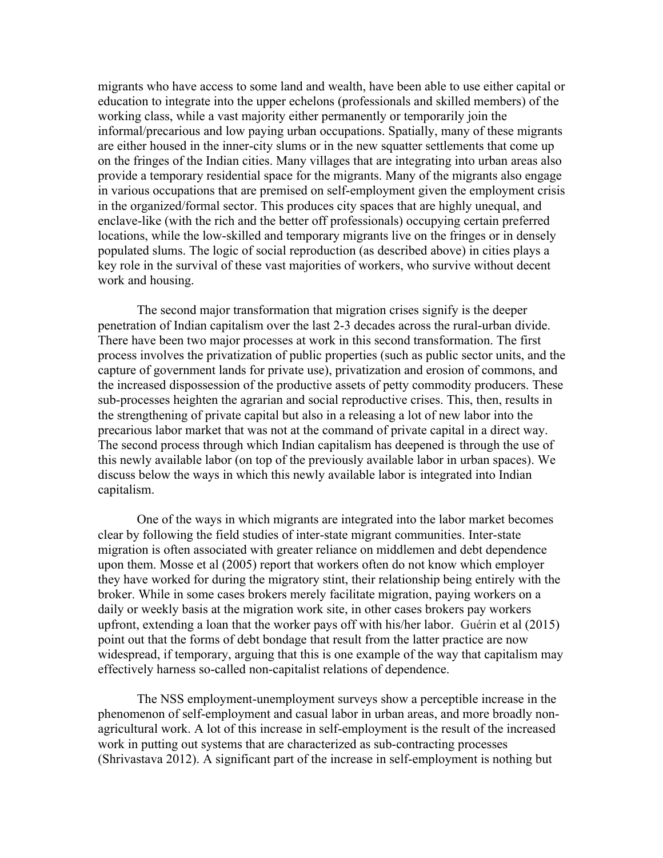migrants who have access to some land and wealth, have been able to use either capital or education to integrate into the upper echelons (professionals and skilled members) of the working class, while a vast majority either permanently or temporarily join the informal/precarious and low paying urban occupations. Spatially, many of these migrants are either housed in the inner-city slums or in the new squatter settlements that come up on the fringes of the Indian cities. Many villages that are integrating into urban areas also provide a temporary residential space for the migrants. Many of the migrants also engage in various occupations that are premised on self-employment given the employment crisis in the organized/formal sector. This produces city spaces that are highly unequal, and enclave-like (with the rich and the better off professionals) occupying certain preferred locations, while the low-skilled and temporary migrants live on the fringes or in densely populated slums. The logic of social reproduction (as described above) in cities plays a key role in the survival of these vast majorities of workers, who survive without decent work and housing.

The second major transformation that migration crises signify is the deeper penetration of Indian capitalism over the last 2-3 decades across the rural-urban divide. There have been two major processes at work in this second transformation. The first process involves the privatization of public properties (such as public sector units, and the capture of government lands for private use), privatization and erosion of commons, and the increased dispossession of the productive assets of petty commodity producers. These sub-processes heighten the agrarian and social reproductive crises. This, then, results in the strengthening of private capital but also in a releasing a lot of new labor into the precarious labor market that was not at the command of private capital in a direct way. The second process through which Indian capitalism has deepened is through the use of this newly available labor (on top of the previously available labor in urban spaces). We discuss below the ways in which this newly available labor is integrated into Indian capitalism.

One of the ways in which migrants are integrated into the labor market becomes clear by following the field studies of inter-state migrant communities. Inter-state migration is often associated with greater reliance on middlemen and debt dependence upon them. Mosse et al (2005) report that workers often do not know which employer they have worked for during the migratory stint, their relationship being entirely with the broker. While in some cases brokers merely facilitate migration, paying workers on a daily or weekly basis at the migration work site, in other cases brokers pay workers upfront, extending a loan that the worker pays off with his/her labor. Guérin et al (2015) point out that the forms of debt bondage that result from the latter practice are now widespread, if temporary, arguing that this is one example of the way that capitalism may effectively harness so-called non-capitalist relations of dependence.

The NSS employment-unemployment surveys show a perceptible increase in the phenomenon of self-employment and casual labor in urban areas, and more broadly nonagricultural work. A lot of this increase in self-employment is the result of the increased work in putting out systems that are characterized as sub-contracting processes (Shrivastava 2012). A significant part of the increase in self-employment is nothing but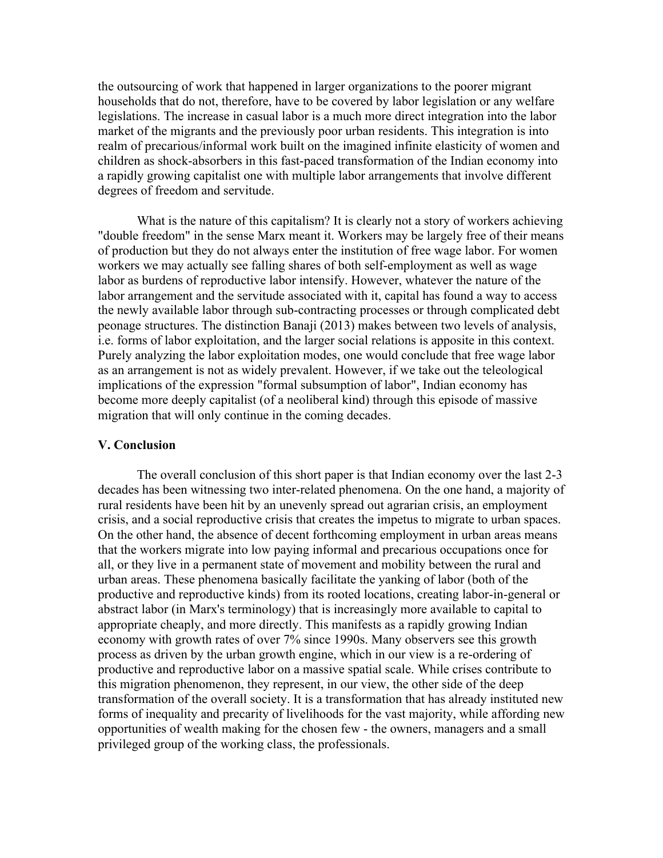the outsourcing of work that happened in larger organizations to the poorer migrant households that do not, therefore, have to be covered by labor legislation or any welfare legislations. The increase in casual labor is a much more direct integration into the labor market of the migrants and the previously poor urban residents. This integration is into realm of precarious/informal work built on the imagined infinite elasticity of women and children as shock-absorbers in this fast-paced transformation of the Indian economy into a rapidly growing capitalist one with multiple labor arrangements that involve different degrees of freedom and servitude.

What is the nature of this capitalism? It is clearly not a story of workers achieving "double freedom" in the sense Marx meant it. Workers may be largely free of their means of production but they do not always enter the institution of free wage labor. For women workers we may actually see falling shares of both self-employment as well as wage labor as burdens of reproductive labor intensify. However, whatever the nature of the labor arrangement and the servitude associated with it, capital has found a way to access the newly available labor through sub-contracting processes or through complicated debt peonage structures. The distinction Banaji (2013) makes between two levels of analysis, i.e. forms of labor exploitation, and the larger social relations is apposite in this context. Purely analyzing the labor exploitation modes, one would conclude that free wage labor as an arrangement is not as widely prevalent. However, if we take out the teleological implications of the expression "formal subsumption of labor", Indian economy has become more deeply capitalist (of a neoliberal kind) through this episode of massive migration that will only continue in the coming decades.

#### **V. Conclusion**

The overall conclusion of this short paper is that Indian economy over the last 2-3 decades has been witnessing two inter-related phenomena. On the one hand, a majority of rural residents have been hit by an unevenly spread out agrarian crisis, an employment crisis, and a social reproductive crisis that creates the impetus to migrate to urban spaces. On the other hand, the absence of decent forthcoming employment in urban areas means that the workers migrate into low paying informal and precarious occupations once for all, or they live in a permanent state of movement and mobility between the rural and urban areas. These phenomena basically facilitate the yanking of labor (both of the productive and reproductive kinds) from its rooted locations, creating labor-in-general or abstract labor (in Marx's terminology) that is increasingly more available to capital to appropriate cheaply, and more directly. This manifests as a rapidly growing Indian economy with growth rates of over 7% since 1990s. Many observers see this growth process as driven by the urban growth engine, which in our view is a re-ordering of productive and reproductive labor on a massive spatial scale. While crises contribute to this migration phenomenon, they represent, in our view, the other side of the deep transformation of the overall society. It is a transformation that has already instituted new forms of inequality and precarity of livelihoods for the vast majority, while affording new opportunities of wealth making for the chosen few - the owners, managers and a small privileged group of the working class, the professionals.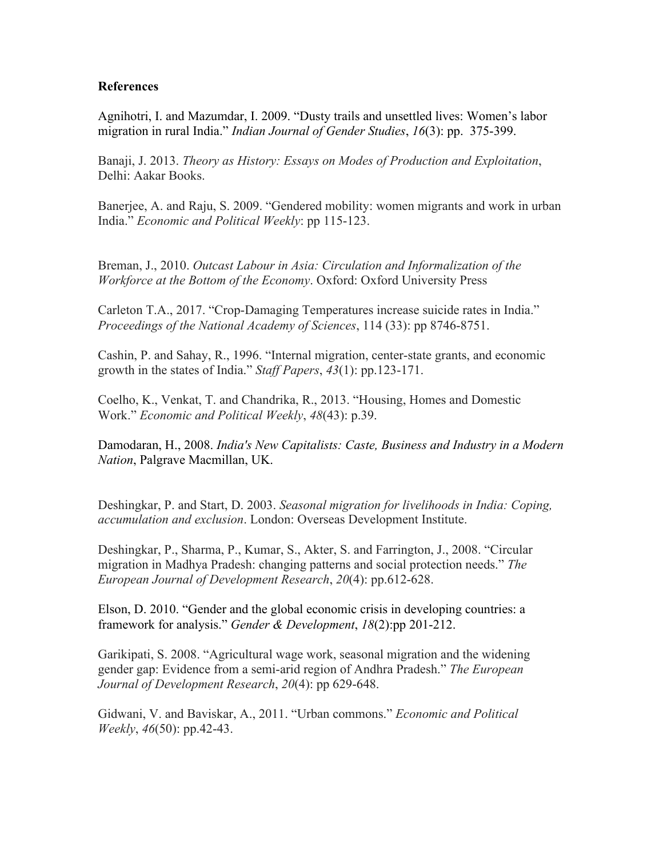## **References**

Agnihotri, I. and Mazumdar, I. 2009. "Dusty trails and unsettled lives: Women's labor migration in rural India." *Indian Journal of Gender Studies*, *16*(3): pp. 375-399.

Banaji, J. 2013. *Theory as History: Essays on Modes of Production and Exploitation*, Delhi: Aakar Books.

Banerjee, A. and Raju, S. 2009. "Gendered mobility: women migrants and work in urban India." *Economic and Political Weekly*: pp 115-123.

Breman, J., 2010. *Outcast Labour in Asia: Circulation and Informalization of the Workforce at the Bottom of the Economy*. Oxford: Oxford University Press

Carleton T.A., 2017. "Crop-Damaging Temperatures increase suicide rates in India." *Proceedings of the National Academy of Sciences*, 114 (33): pp 8746-8751.

Cashin, P. and Sahay, R., 1996. "Internal migration, center-state grants, and economic growth in the states of India." *Staff Papers*, *43*(1): pp.123-171.

Coelho, K., Venkat, T. and Chandrika, R., 2013. "Housing, Homes and Domestic Work." *Economic and Political Weekly*, *48*(43): p.39.

Damodaran, H., 2008. *India's New Capitalists: Caste, Business and Industry in a Modern Nation*, Palgrave Macmillan, UK.

Deshingkar, P. and Start, D. 2003. *Seasonal migration for livelihoods in India: Coping, accumulation and exclusion*. London: Overseas Development Institute.

Deshingkar, P., Sharma, P., Kumar, S., Akter, S. and Farrington, J., 2008. "Circular migration in Madhya Pradesh: changing patterns and social protection needs." *The European Journal of Development Research*, *20*(4): pp.612-628.

Elson, D. 2010. "Gender and the global economic crisis in developing countries: a framework for analysis." *Gender & Development*, *18*(2):pp 201-212.

Garikipati, S. 2008. "Agricultural wage work, seasonal migration and the widening gender gap: Evidence from a semi-arid region of Andhra Pradesh." *The European Journal of Development Research*, *20*(4): pp 629-648.

Gidwani, V. and Baviskar, A., 2011. "Urban commons." *Economic and Political Weekly*, *46*(50): pp.42-43.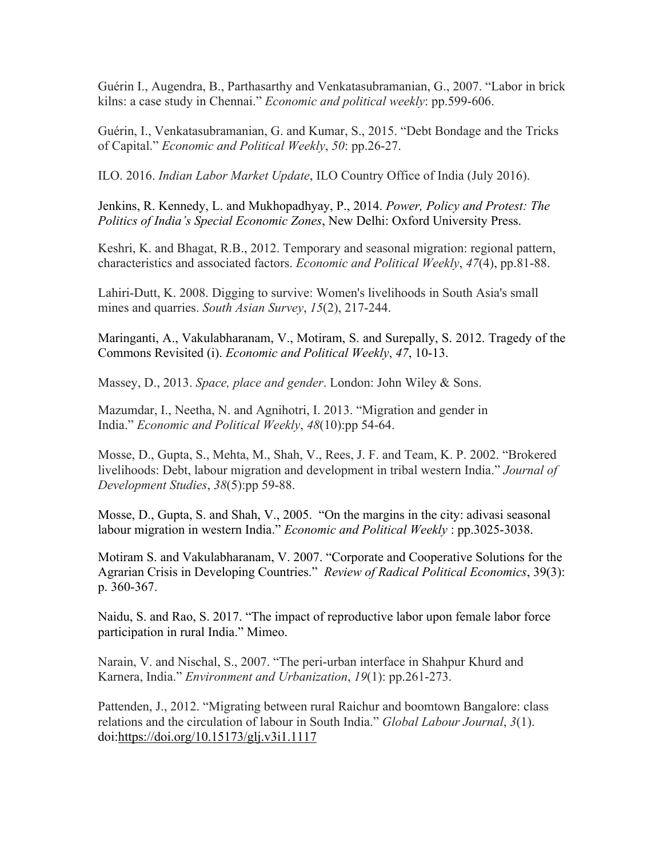Guérin I., Augendra, B., Parthasarthy and Venkatasubramanian, G., 2007. "Labor in brick kilns: a case study in Chennai." *Economic and political weekly*: pp.599-606.

Guérin, I., Venkatasubramanian, G. and Kumar, S., 2015. "Debt Bondage and the Tricks of Capital." *Economic and Political Weekly*, *50*: pp.26-27.

ILO. 2016. *Indian Labor Market Update*, ILO Country Office of India (July 2016).

Jenkins, R. Kennedy, L. and Mukhopadhyay, P., 2014. *[Power, Policy and Protest: The](http://ukcatalogue.oup.com/product/9780198097341.do) [Politics of India's Special Economic Zones](http://ukcatalogue.oup.com/product/9780198097341.do)*, New Delhi: Oxford University Press.

Keshri, K. and Bhagat, R.B., 2012. Temporary and seasonal migration: regional pattern, characteristics and associated factors. *Economic and Political Weekly*, *47*(4), pp.81-88.

Lahiri-Dutt, K. 2008. Digging to survive: Women's livelihoods in South Asia's small mines and quarries. *South Asian Survey*, *15*(2), 217-244.

Maringanti, A., Vakulabharanam, V., Motiram, S. and Surepally, S. 2012. Tragedy of the Commons Revisited (i). *Economic and Political Weekly*, *47*, 10-13.

Massey, D., 2013. *Space, place and gender*. London: John Wiley & Sons.

Mazumdar, I., Neetha, N. and Agnihotri, I. 2013. "Migration and gender in India." *Economic and Political Weekly*, *48*(10):pp 54-64.

Mosse, D., Gupta, S., Mehta, M., Shah, V., Rees, J. F. and Team, K. P. 2002. "Brokered livelihoods: Debt, labour migration and development in tribal western India." *Journal of Development Studies*, *38*(5):pp 59-88.

Mosse, D., Gupta, S. and Shah, V., 2005. "On the margins in the city: adivasi seasonal labour migration in western India." *Economic and Political Weekly* : pp.3025-3038.

Motiram S. and Vakulabharanam, V. 2007. "Corporate and Cooperative Solutions for the Agrarian Crisis in Developing Countries." *Review of Radical Political Economics*, 39(3): p. 360-367.

Naidu, S. and Rao, S. 2017. "The impact of reproductive labor upon female labor force participation in rural India." Mimeo.

Narain, V. and Nischal, S., 2007. "The peri-urban interface in Shahpur Khurd and Karnera, India." *Environment and Urbanization*, *19*(1): pp.261-273.

Pattenden, J., 2012. "Migrating between rural Raichur and boomtown Bangalore: class relations and the circulation of labour in South India." *Global Labour Journal*, *3*(1). doi[:https://doi.org/10.15173/glj.v3i1.1117](https://doi.org/10.15173/glj.v3i1.1117)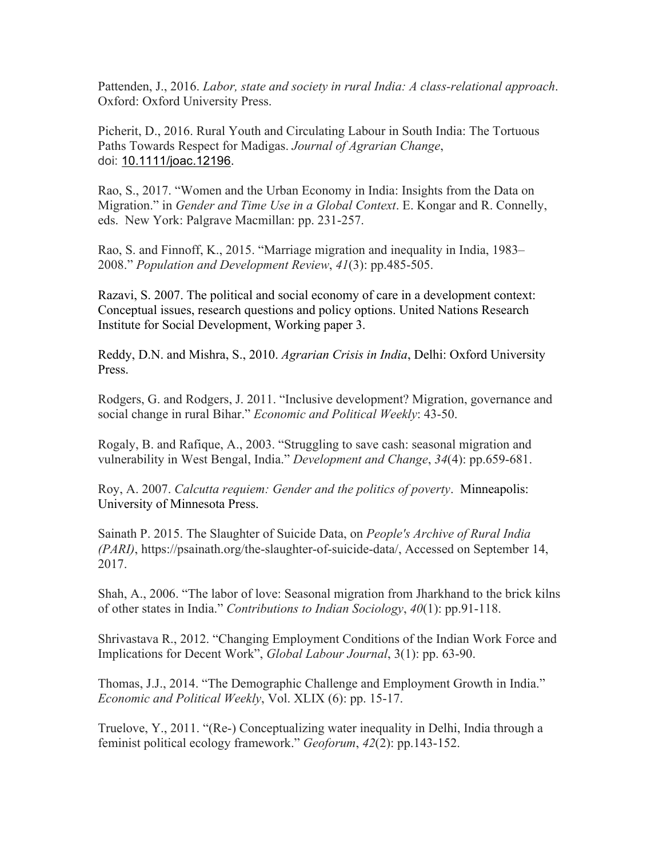Pattenden, J., 2016. *Labor, state and society in rural India: A class-relational approach*. Oxford: Oxford University Press.

Picherit, D., 2016. Rural Youth and Circulating Labour in South India: The Tortuous Paths Towards Respect for Madigas. *Journal of Agrarian Change*, doi: [10.1111/joac.12196](http://dx.doi.org/10.1111/joac.12196).

Rao, S., 2017. "Women and the Urban Economy in India: Insights from the Data on Migration." in *Gender and Time Use in a Global Context*. E. Kongar and R. Connelly, eds. New York: Palgrave Macmillan: pp. 231-257.

Rao, S. and Finnoff, K., 2015. "Marriage migration and inequality in India, 1983– 2008." *Population and Development Review*, *41*(3): pp.485-505.

Razavi, S. 2007. The political and social economy of care in a development context: Conceptual issues, research questions and policy options. United Nations Research Institute for Social Development, Working paper 3.

Reddy, D.N. and Mishra, S., 2010. *Agrarian Crisis in India*, Delhi: Oxford University Press.

Rodgers, G. and Rodgers, J. 2011. "Inclusive development? Migration, governance and social change in rural Bihar." *Economic and Political Weekly*: 43-50.

Rogaly, B. and Rafique, A., 2003. "Struggling to save cash: seasonal migration and vulnerability in West Bengal, India." *Development and Change*, *34*(4): pp.659-681.

Roy, A. 2007. *Calcutta requiem: Gender and the politics of poverty*. Minneapolis: University of Minnesota Press.

Sainath P. 2015. The Slaughter of Suicide Data, on *People's Archive of Rural India (PARI)*, https://psainath.org/the-slaughter-of-suicide-data/, Accessed on September 14, 2017.

Shah, A., 2006. "The labor of love: Seasonal migration from Jharkhand to the brick kilns of other states in India." *Contributions to Indian Sociology*, *40*(1): pp.91-118.

Shrivastava R., 2012. "Changing Employment Conditions of the Indian Work Force and Implications for Decent Work", *Global Labour Journal*, 3(1): pp. 63-90.

Thomas, J.J., 2014. "The Demographic Challenge and Employment Growth in India." *Economic and Political Weekly*, Vol. XLIX (6): pp. 15-17.

Truelove, Y., 2011. "(Re-) Conceptualizing water inequality in Delhi, India through a feminist political ecology framework." *Geoforum*, *42*(2): pp.143-152.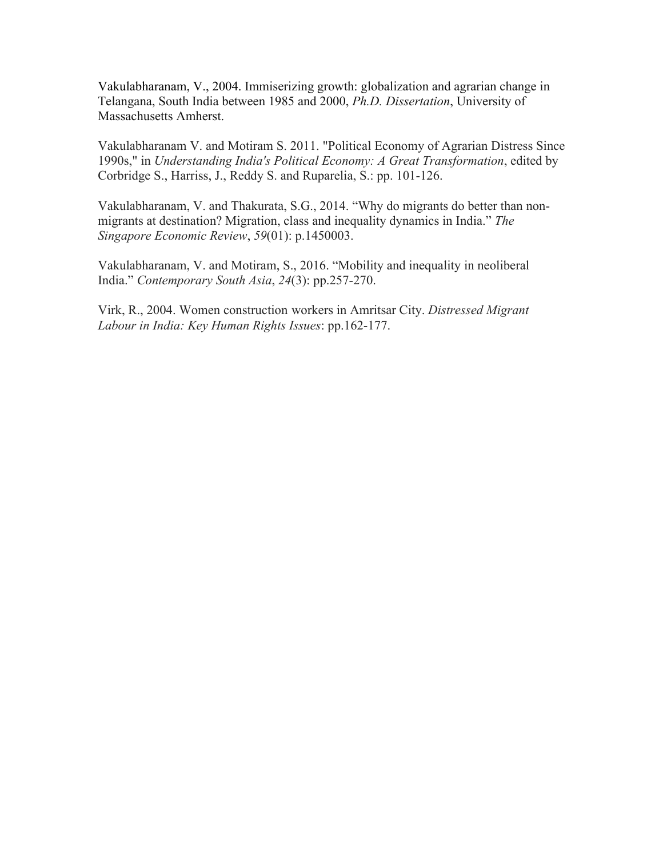Vakulabharanam, V., 2004. Immiserizing growth: globalization and agrarian change in Telangana, South India between 1985 and 2000, *Ph.D. Dissertation*, University of Massachusetts Amherst.

Vakulabharanam V. and Motiram S. 2011. "Political Economy of Agrarian Distress Since 1990s," in *Understanding India's Political Economy: A Great Transformation*, edited by Corbridge S., Harriss, J., Reddy S. and Ruparelia, S.: pp. 101-126.

Vakulabharanam, V. and Thakurata, S.G., 2014. "Why do migrants do better than nonmigrants at destination? Migration, class and inequality dynamics in India." *The Singapore Economic Review*, *59*(01): p.1450003.

Vakulabharanam, V. and Motiram, S., 2016. "Mobility and inequality in neoliberal India." *Contemporary South Asia*, *24*(3): pp.257-270.

Virk, R., 2004. Women construction workers in Amritsar City. *Distressed Migrant Labour in India: Key Human Rights Issues*: pp.162-177.